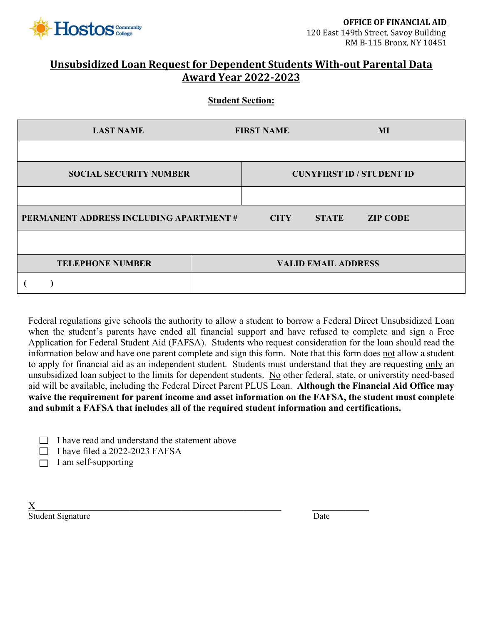

## **Unsubsidized Loan Request for Dependent Students With-out Parental Data Award Year 2022-2023**

**Student Section:**

| <b>LAST NAME</b>                        | <b>FIRST NAME</b> |                            | MI                               |
|-----------------------------------------|-------------------|----------------------------|----------------------------------|
|                                         |                   |                            |                                  |
| <b>SOCIAL SECURITY NUMBER</b>           |                   |                            | <b>CUNYFIRST ID / STUDENT ID</b> |
|                                         |                   |                            |                                  |
| PERMANENT ADDRESS INCLUDING APARTMENT # | <b>CITY</b>       | <b>STATE</b>               | <b>ZIP CODE</b>                  |
|                                         |                   |                            |                                  |
| <b>TELEPHONE NUMBER</b>                 |                   | <b>VALID EMAIL ADDRESS</b> |                                  |
|                                         |                   |                            |                                  |

Federal regulations give schools the authority to allow a student to borrow a Federal Direct Unsubsidized Loan when the student's parents have ended all financial support and have refused to complete and sign a Free Application for Federal Student Aid (FAFSA). Students who request consideration for the loan should read the information below and have one parent complete and sign this form. Note that this form does not allow a student to apply for financial aid as an independent student. Students must understand that they are requesting only an unsubsidized loan subject to the limits for dependent students. No other federal, state, or universtity need-based aid will be available, including the Federal Direct Parent PLUS Loan. **Although the Financial Aid Office may waive the requirement for parent income and asset information on the FAFSA, the student must complete and submit a FAFSA that includes all of the required student information and certifications.**

|  |  | $\Box$ I have read and understand the statement above |
|--|--|-------------------------------------------------------|
|--|--|-------------------------------------------------------|

- $\Box$  I have filed a 2022-2023 FAFSA
- $\Box$  I am self-supporting

 $\underline{X}$ Student Signature Date Date of the United Student Signature Date Date Date